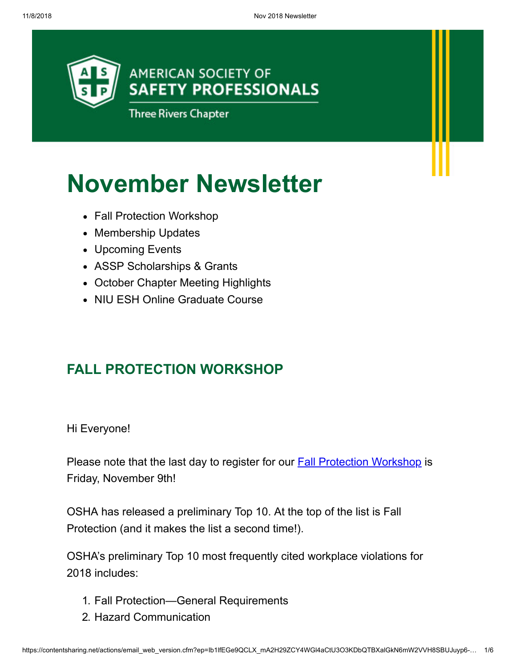

# **November Newsletter**

- Fall Protection Workshop
- Membership Updates
- Upcoming Events
- ASSP Scholarships & Grants
- October Chapter Meeting Highlights
- NIU FSH Online Graduate Course

# **FALL PROTECTION WORKSHOP**

Hi Everyone!

Please note that the last day to register for our **Fall Protection Workshop** is Friday, November 9th!

OSHA has released a preliminary Top 10. At the top of the list is Fall Protection (and it makes the list a second time!).

OSHA's preliminary Top 10 most frequently cited workplace violations for 2018 includes:

- 1. Fall Protection—General Requirements
- 2. Hazard Communication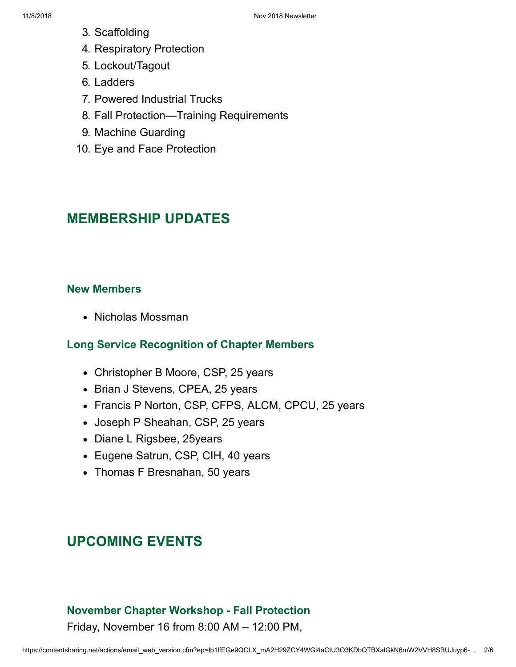- 3. Scaffolding
- 4. Respiratory Protection
- 5. Lockout/Tagout
- 6. Ladders
- 7. Powered Industrial Trucks
- 8. Fall Protection—Training Requirements
- 9. Machine Guarding
- 10. Eye and Face Protection

# **MEMBERSHIP UPDATES**

#### **New Members**

• Nicholas Mossman

## **Long Service Recognition of Chapter Members**

- Christopher B Moore, CSP, 25 years
- Brian J Stevens, CPEA, 25 years
- Francis P Norton, CSP, CFPS, ALCM, CPCU, 25 years
- Joseph P Sheahan, CSP, 25 years
- Diane L Rigsbee, 25years
- Eugene Satrun, CSP, CIH, 40 years
- Thomas F Bresnahan, 50 years

# **UPCOMING EVENTS**

## **November Chapter Workshop - Fall Protection**

Friday, November 16 from 8:00 AM – 12:00 PM,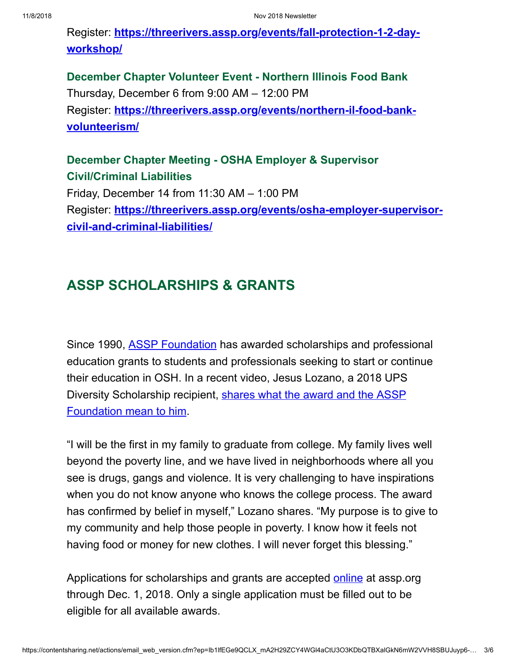Register: **[https://threerivers.assp.org/events/fall-protection-1-2-day](http://send.assp.org/link.cfm?r=_iexdL4Fryd0pylYLyjWzQ~~&pe=FyxRTV7PKe9TFQ9goMn4op0SNpOkV65YHKh_FzYG0pzyRvLBjj0v2sFIVba6bPJ7BjtJxzlTUBgvA1YD2ua_ZA~~&t=INSERT_TRACKING_ENCID)workshop/**

**December Chapter Volunteer Event - Northern Illinois Food Bank** Thursday, December 6 from 9:00 AM – 12:00 PM Register: **[https://threerivers.assp.org/events/northern-il-food-bank](http://send.assp.org/link.cfm?r=_iexdL4Fryd0pylYLyjWzQ~~&pe=L_UB3FTxLhPspgDIA4b23HlTVXd2rBdXuL73Gy0RvslK-JF3yz8jhay_D7HlBPa5f_fbGKQI1pw0EqjJ4yFWhg~~&t=INSERT_TRACKING_ENCID)volunteerism/**

## **December Chapter Meeting - OSHA Employer & Supervisor Civil/Criminal Liabilities**

Friday, December 14 from 11:30 AM – 1:00 PM Register: **[https://threerivers.assp.org/events/osha-employer-supervisor](http://send.assp.org/link.cfm?r=_iexdL4Fryd0pylYLyjWzQ~~&pe=hCklIRK_YwQ2xDq3xSiTn3XsgHuZM3nRzcI9V8CIwmJ-1zMyiboRNTeiw3zJz9BNGBsh96ZMd7KQdzAXtyawbQ~~&t=INSERT_TRACKING_ENCID)civil-and-criminal-liabilities/**

# **ASSP SCHOLARSHIPS & GRANTS**

Since 1990, [ASSP Foundation](http://send.assp.org/link.cfm?r=_iexdL4Fryd0pylYLyjWzQ~~&pe=UuU44ETO4XUfTNNnDQKeDvf-SRINSSclH6MX1CNmoE1DCkADH-9ZswNbtdVCFZ7LZsydcvtUuD_ZPJJmqOh3jA~~&t=INSERT_TRACKING_ENCID) has awarded scholarships and professional education grants to students and professionals seeking to start or continue their education in OSH. In a recent video, Jesus Lozano, a 2018 UPS [Diversity Scholarship recipient, shares what the award and the ASSP](http://send.assp.org/link.cfm?r=_iexdL4Fryd0pylYLyjWzQ~~&pe=a7C_TScyeG_OrOXvd-9Of2HXvqLweLMWmFkc9kk5A_ZCt7naNdL02TKzaFOhSzMx5b1wfKxoOWin7nFwCL6C2Q~~&t=INSERT_TRACKING_ENCID) Foundation mean to him.

"I will be the first in my family to graduate from college. My family lives well beyond the poverty line, and we have lived in neighborhoods where all you see is drugs, gangs and violence. It is very challenging to have inspirations when you do not know anyone who knows the college process. The award has confirmed by belief in myself," Lozano shares. "My purpose is to give to my community and help those people in poverty. I know how it feels not having food or money for new clothes. I will never forget this blessing."

Applications for scholarships and grants are accepted [online](http://send.assp.org/link.cfm?r=_iexdL4Fryd0pylYLyjWzQ~~&pe=qv9e8TNk8boTtAWA2cyk-Jn-pIj4ow_Pxw3abH3ikKe6TTy4M1R10Zb1CWrVWKZMvJX7j_CUuwQpoMDAeeLQGQ~~&t=INSERT_TRACKING_ENCID) at assp.org through Dec. 1, 2018. Only a single application must be filled out to be eligible for all available awards.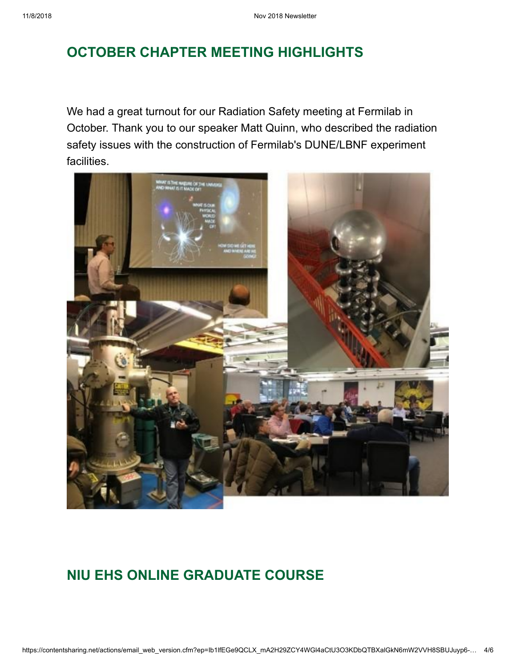# **OCTOBER CHAPTER MEETING HIGHLIGHTS**

We had a great turnout for our Radiation Safety meeting at Fermilab in October. Thank you to our speaker Matt Quinn, who described the radiation safety issues with the construction of Fermilab's DUNE/LBNF experiment facilities.



## **NIU EHS ONLINE GRADUATE COURSE**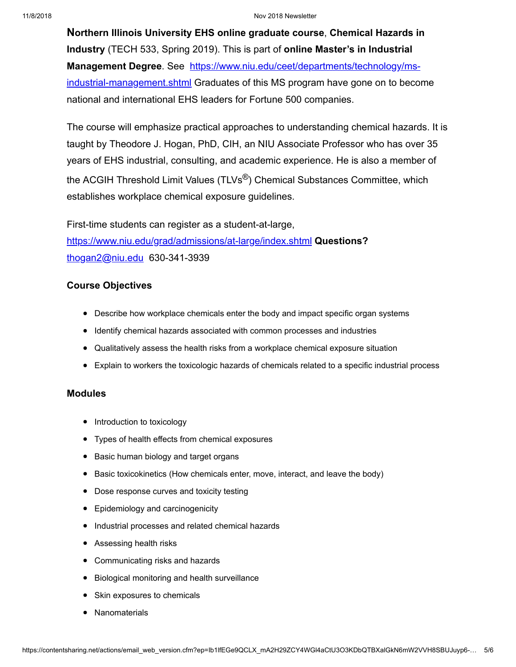#### 11/8/2018 Nov 2018 Newsletter

**Northern Illinois University EHS online graduate course**, **Chemical Hazards in Industry** (TECH 533, Spring 2019). This is part of **online Master's in Industrial Management Degree**. See https://www.niu.edu/ceet/departments/technology/ms[industrial-management.shtml Graduates of this MS program have gone on to becom](http://send.assp.org/link.cfm?r=_iexdL4Fryd0pylYLyjWzQ~~&pe=arEhp4YKcUgzW7HkCoG9rkC4GCyMf-PxQFcJN9u_gqj-HyxA8sZaPIQMbwET_cDFhd5aZeorxGhJisY2NvDgRQ~~&t=INSERT_TRACKING_ENCID)e national and international EHS leaders for Fortune 500 companies.

The course will emphasize practical approaches to understanding chemical hazards. It is taught by Theodore J. Hogan, PhD, CIH, an NIU Associate Professor who has over 35 years of EHS industrial, consulting, and academic experience. He is also a member of the ACGIH Threshold Limit Values (TLVs<sup>®</sup>) Chemical Substances Committee, which establishes workplace chemical exposure guidelines.

First-time students can register as a student-at-large, [https://www.niu.edu/grad/admissions/at-large/index.shtml](http://send.assp.org/link.cfm?r=_iexdL4Fryd0pylYLyjWzQ~~&pe=wZK4gDuBQ3H64_ymyuBFLRsbWf4A_mdKwxecQyQ3hBVY-_m0QFSLwyYvvRs9GTfvb3JT02-P0PigUymCzxSXvQ~~&t=INSERT_TRACKING_ENCID) **Questions?** [thogan2@niu.edu](mailto:thogan2@niu.edu) 630-341-3939

#### **Course Objectives**

- Describe how workplace chemicals enter the body and impact specific organ systems
- Identify chemical hazards associated with common processes and industries
- Qualitatively assess the health risks from a workplace chemical exposure situation
- Explain to workers the toxicologic hazards of chemicals related to a specific industrial process

#### **Modules**

- Introduction to toxicology
- Types of health effects from chemical exposures
- Basic human biology and target organs
- Basic toxicokinetics (How chemicals enter, move, interact, and leave the body)
- Dose response curves and toxicity testing
- Epidemiology and carcinogenicity
- $\bullet$  Industrial processes and related chemical hazards
- Assessing health risks
- Communicating risks and hazards
- Biological monitoring and health surveillance
- Skin exposures to chemicals
- Nanomaterials